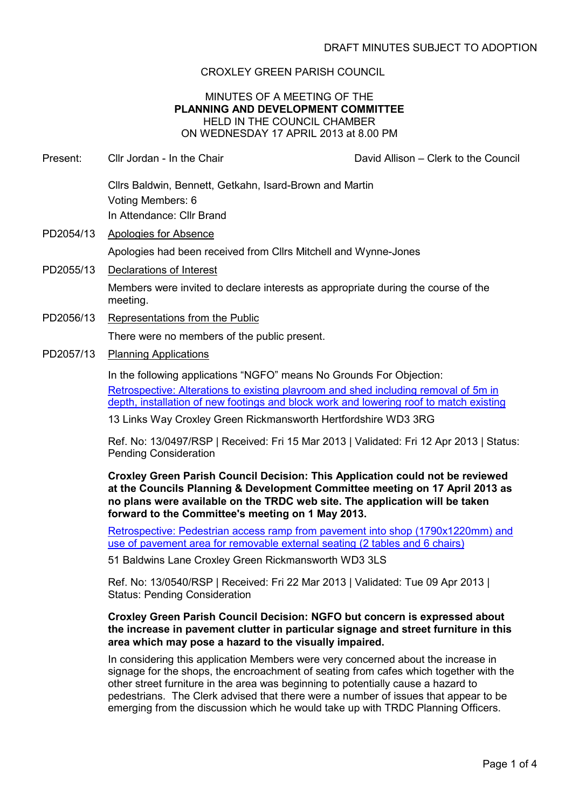# CROXLEY GREEN PARISH COUNCIL

## MINUTES OF A MEETING OF THE **PLANNING AND DEVELOPMENT COMMITTEE** HELD IN THE COUNCIL CHAMBER ON WEDNESDAY 17 APRIL 2013 at 8.00 PM

- Present: Cllr Jordan In the Chair Chair David Allison Clerk to the Council Cllrs Baldwin, Bennett, Getkahn, Isard-Brown and Martin Voting Members: 6 In Attendance: Cllr Brand
- PD2054/13 Apologies for Absence Apologies had been received from Cllrs Mitchell and Wynne-Jones
- PD2055/13 Declarations of Interest

Members were invited to declare interests as appropriate during the course of the meeting.

- PD2056/13 Representations from the Public There were no members of the public present.
- PD2057/13 Planning Applications

In the following applications "NGFO" means No Grounds For Objection: Retrospective: Alterations to existing playroom and shed including removal of 5m in depth, installation of new footings and block work and lowering roof to match existing

13 Links Way Croxley Green Rickmansworth Hertfordshire WD3 3RG

Ref. No: 13/0497/RSP | Received: Fri 15 Mar 2013 | Validated: Fri 12 Apr 2013 | Status: Pending Consideration

**Croxley Green Parish Council Decision: This Application could not be reviewed at the Councils Planning & Development Committee meeting on 17 April 2013 as no plans were available on the TRDC web site. The application will be taken forward to the Committee's meeting on 1 May 2013.** 

Retrospective: Pedestrian access ramp from pavement into shop (1790x1220mm) and use of pavement area for removable external seating (2 tables and 6 chairs)

51 Baldwins Lane Croxley Green Rickmansworth WD3 3LS

Ref. No: 13/0540/RSP | Received: Fri 22 Mar 2013 | Validated: Tue 09 Apr 2013 | Status: Pending Consideration

## **Croxley Green Parish Council Decision: NGFO but concern is expressed about the increase in pavement clutter in particular signage and street furniture in this area which may pose a hazard to the visually impaired.**

In considering this application Members were very concerned about the increase in signage for the shops, the encroachment of seating from cafes which together with the other street furniture in the area was beginning to potentially cause a hazard to pedestrians. The Clerk advised that there were a number of issues that appear to be emerging from the discussion which he would take up with TRDC Planning Officers.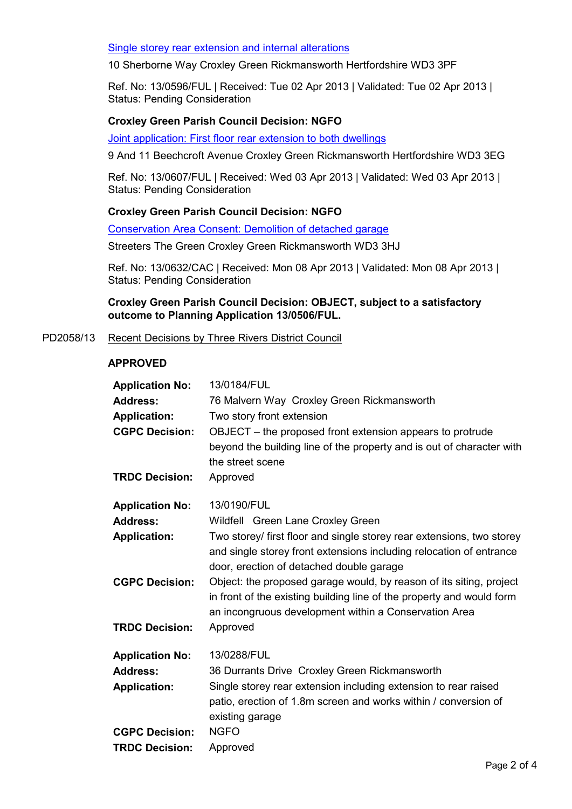## Single storey rear extension and internal alterations

10 Sherborne Way Croxley Green Rickmansworth Hertfordshire WD3 3PF

Ref. No: 13/0596/FUL | Received: Tue 02 Apr 2013 | Validated: Tue 02 Apr 2013 | Status: Pending Consideration

## **Croxley Green Parish Council Decision: NGFO**

Joint application: First floor rear extension to both dwellings

9 And 11 Beechcroft Avenue Croxley Green Rickmansworth Hertfordshire WD3 3EG

Ref. No: 13/0607/FUL | Received: Wed 03 Apr 2013 | Validated: Wed 03 Apr 2013 | Status: Pending Consideration

## **Croxley Green Parish Council Decision: NGFO**

Conservation Area Consent: Demolition of detached garage

Streeters The Green Croxley Green Rickmansworth WD3 3HJ

Ref. No: 13/0632/CAC | Received: Mon 08 Apr 2013 | Validated: Mon 08 Apr 2013 | Status: Pending Consideration

**Croxley Green Parish Council Decision: OBJECT, subject to a satisfactory outcome to Planning Application 13/0506/FUL.**

PD2058/13 Recent Decisions by Three Rivers District Council

## **APPROVED**

| <b>Application No:</b> | 13/0184/FUL                                                                                                                                                                                           |
|------------------------|-------------------------------------------------------------------------------------------------------------------------------------------------------------------------------------------------------|
| <b>Address:</b>        | 76 Malvern Way Croxley Green Rickmansworth                                                                                                                                                            |
| <b>Application:</b>    | Two story front extension                                                                                                                                                                             |
| <b>CGPC Decision:</b>  | OBJECT – the proposed front extension appears to protrude<br>beyond the building line of the property and is out of character with<br>the street scene                                                |
| <b>TRDC Decision:</b>  | Approved                                                                                                                                                                                              |
| <b>Application No:</b> | 13/0190/FUL                                                                                                                                                                                           |
| <b>Address:</b>        | Wildfell Green Lane Croxley Green                                                                                                                                                                     |
| <b>Application:</b>    | Two storey/ first floor and single storey rear extensions, two storey<br>and single storey front extensions including relocation of entrance<br>door, erection of detached double garage              |
| <b>CGPC Decision:</b>  | Object: the proposed garage would, by reason of its siting, project<br>in front of the existing building line of the property and would form<br>an incongruous development within a Conservation Area |
| <b>TRDC Decision:</b>  | Approved                                                                                                                                                                                              |
| <b>Application No:</b> | 13/0288/FUL                                                                                                                                                                                           |
| <b>Address:</b>        | 36 Durrants Drive Croxley Green Rickmansworth                                                                                                                                                         |
| <b>Application:</b>    | Single storey rear extension including extension to rear raised<br>patio, erection of 1.8m screen and works within / conversion of<br>existing garage                                                 |
| <b>CGPC Decision:</b>  | <b>NGFO</b>                                                                                                                                                                                           |
| <b>TRDC Decision:</b>  | Approved                                                                                                                                                                                              |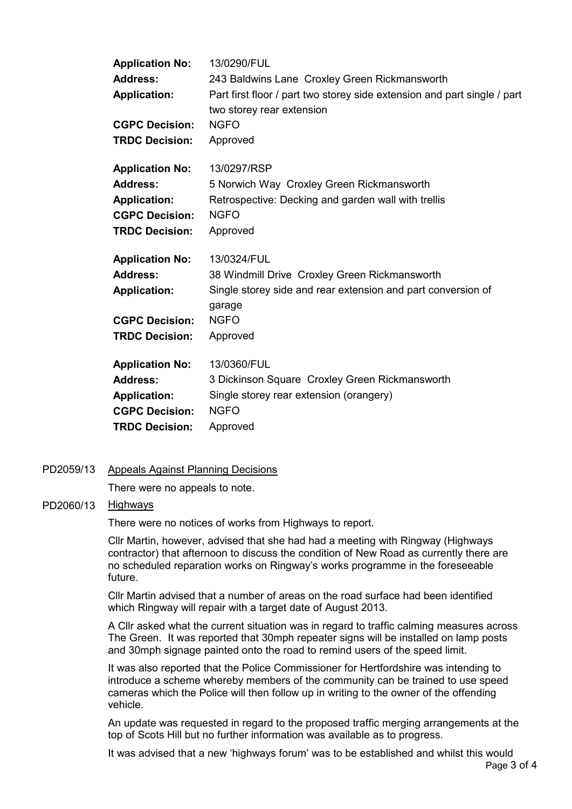| <b>Application No:</b> | 13/0290/FUL                                                              |
|------------------------|--------------------------------------------------------------------------|
| <b>Address:</b>        | 243 Baldwins Lane Croxley Green Rickmansworth                            |
| <b>Application:</b>    | Part first floor / part two storey side extension and part single / part |
|                        | two storey rear extension                                                |
| <b>CGPC Decision:</b>  | <b>NGFO</b>                                                              |
| <b>TRDC Decision:</b>  | Approved                                                                 |
| <b>Application No:</b> | 13/0297/RSP                                                              |
| <b>Address:</b>        | 5 Norwich Way Croxley Green Rickmansworth                                |
| <b>Application:</b>    | Retrospective: Decking and garden wall with trellis                      |
| <b>CGPC Decision:</b>  | <b>NGFO</b>                                                              |
| <b>TRDC Decision:</b>  | Approved                                                                 |
| <b>Application No:</b> | 13/0324/FUL                                                              |
|                        |                                                                          |
| <b>Address:</b>        | 38 Windmill Drive Croxley Green Rickmansworth                            |
| <b>Application:</b>    | Single storey side and rear extension and part conversion of<br>garage   |
| <b>CGPC Decision:</b>  | <b>NGFO</b>                                                              |
| <b>TRDC Decision:</b>  | Approved                                                                 |
| <b>Application No:</b> | 13/0360/FUL                                                              |
| <b>Address:</b>        | 3 Dickinson Square Croxley Green Rickmansworth                           |
| <b>Application:</b>    | Single storey rear extension (orangery)                                  |
| <b>CGPC Decision:</b>  | <b>NGFO</b>                                                              |

#### PD2059/13 Appeals Against Planning Decisions

There were no appeals to note.

## PD2060/13 Highways

There were no notices of works from Highways to report.

Cllr Martin, however, advised that she had had a meeting with Ringway (Highways contractor) that afternoon to discuss the condition of New Road as currently there are no scheduled reparation works on Ringway's works programme in the foreseeable future.

Cllr Martin advised that a number of areas on the road surface had been identified which Ringway will repair with a target date of August 2013.

A Cllr asked what the current situation was in regard to traffic calming measures across The Green. It was reported that 30mph repeater signs will be installed on lamp posts and 30mph signage painted onto the road to remind users of the speed limit.

It was also reported that the Police Commissioner for Hertfordshire was intending to introduce a scheme whereby members of the community can be trained to use speed cameras which the Police will then follow up in writing to the owner of the offending vehicle.

An update was requested in regard to the proposed traffic merging arrangements at the top of Scots Hill but no further information was available as to progress.

It was advised that a new 'highways forum' was to be established and whilst this would